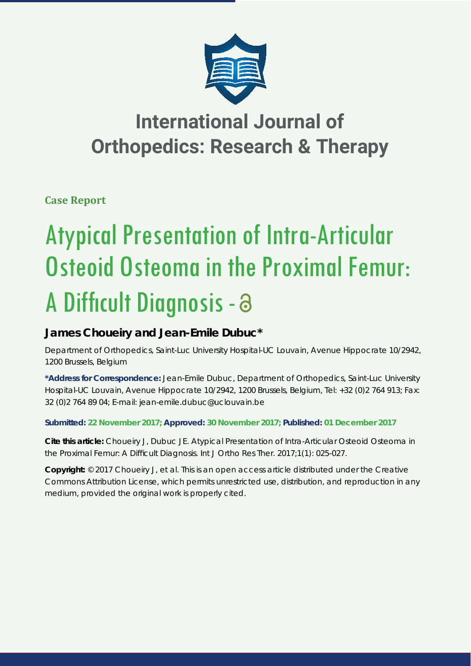

## **International Journal of Orthopedics: Research & Therapy**

**Case Report**

# Atypical Presentation of Intra-Articular Osteoid Osteoma in the Proximal Femur: A Difficult Diagnosis - a

### **James Choueiry and Jean-Emile Dubuc\***

*Department of Orthopedics, Saint-Luc University Hospital-UC Louvain, Avenue Hippocrate 10/2942, 1200 Brussels, Belgium*

**\*Address for Correspondence:** Jean-Emile Dubuc, Department of Orthopedics, Saint-Luc University Hospital-UC Louvain, Avenue Hippocrate 10/2942, 1200 Brussels, Belgium, Tel: +32 (0)2 764 913; Fax: 32 (0)2 764 89 04; E-mail: jean-emile.dubuc@uclouvain.be

**Submitted: 22 November 2017; Approved: 30 November 2017; Published: 01 December 2017**

**Cite this article:** Choueiry J, Dubuc JE. Atypical Presentation of Intra-Articular Osteoid Osteoma in the Proximal Femur: A Difficult Diagnosis. Int J Ortho Res Ther. 2017;1(1): 025-027.

**Copyright:** © 2017 Choueiry J, et al. This is an open access article distributed under the Creative Commons Attribution License, which permits unrestricted use, distribution, and reproduction in any medium, provided the original work is properly cited.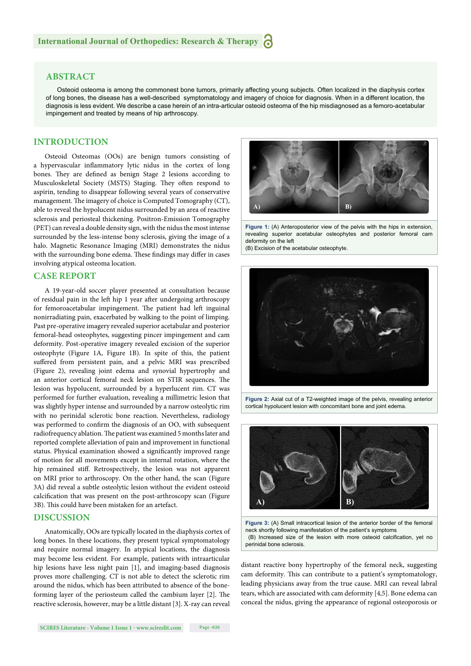#### **ABSTRACT**

Osteoid osteoma is among the commonest bone tumors, primarily affecting young subjects. Often localized in the diaphysis cortex of long bones, the disease has a well-described symptomatology and imagery of choice for diagnosis. When in a different location, the diagnosis is less evident. We describe a case herein of an intra-articular osteoid osteoma of the hip misdiagnosed as a femoro-acetabular impingement and treated by means of hip arthroscopy.

#### **INTRODUCTION**

Osteoid Osteomas (OOs) are benign tumors consisting of a hypervascular inflammatory lytic nidus in the cortex of long bones. They are defined as benign Stage 2 lesions according to Musculoskeletal Society (MSTS) Staging. They often respond to aspirin, tending to disappear following several years of conservative management. The imagery of choice is Computed Tomography (CT), able to reveal the hypolucent nidus surrounded by an area of reactive sclerosis and periosteal thickening. Positron-Emission Tomography (PET) can reveal a double density sign, with the nidus the most intense surrounded by the less-intense bony sclerosis, giving the image of a halo. Magnetic Resonance Imaging (MRI) demonstrates the nidus with the surrounding bone edema. These findings may differ in cases involving atypical osteoma location.

#### **CASE REPORT**

A 19-year-old soccer player presented at consultation because of residual pain in the left hip 1 year after undergoing arthroscopy for femoroacetabular impingement. The patient had left inguinal nonirradiating pain, exacerbated by walking to the point of limping. Past pre-operative imagery revealed superior acetabular and posterior femoral-head osteophytes, suggesting pincer impingement and cam deformity. Post-operative imagery revealed excision of the superior osteophyte (Figure 1A, Figure 1B). In spite of this, the patient suffered from persistent pain, and a pelvic MRI was prescribed (Figure 2), revealing joint edema and synovial hypertrophy and an anterior cortical femoral neck lesion on STIR sequences. The lesion was hypolucent, surrounded by a hyperlucent rim. CT was performed for further evaluation, revealing a millimetric lesion that was slightly hyper intense and surrounded by a narrow osteolytic rim with no perinidal sclerotic bone reaction. Nevertheless, radiology was performed to confirm the diagnosis of an OO, with subsequent radiofrequency ablation. The patient was examined 5 months later and reported complete alleviation of pain and improvement in functional status. Physical examination showed a significantly improved range of motion for all movements except in internal rotation, where the hip remained stiff. Retrospectively, the lesion was not apparent on MRI prior to arthroscopy. On the other hand, the scan (Figure 3A) did reveal a subtle osteolytic lesion without the evident osteoid calcification that was present on the post-arthroscopy scan (Figure 3B). This could have been mistaken for an artefact.

#### **DISCUSSION**

Anatomically, OOs are typically located in the diaphysis cortex of long bones. In these locations, they present typical symptomatology and require normal imagery. In atypical locations, the diagnosis may become less evident. For example, patients with intraarticular hip lesions have less night pain [1], and imaging-based diagnosis proves more challenging. CT is not able to detect the sclerotic rim around the nidus, which has been attributed to absence of the boneforming layer of the periosteum called the cambium layer  $[2]$ . The reactive sclerosis, however, may be a little distant [3]. X-ray can reveal



**Figure 1:** (A) Anteroposterior view of the pelvis with the hips in extension, revealing superior acetabular osteophytes and posterior femoral cam deformity on the left

(B) Excision of the acetabular osteophyte.



**Figure 2:** Axial cut of a T2-weighted image of the pelvis, revealing anterior cortical hypolucent lesion with concomitant bone and joint edema.



**Figure 3:** (A) Small intracortical lesion of the anterior border of the femoral neck shortly following manifestation of the patient's symptoms (B) Increased size of the lesion with more osteoid calcification, yet no perinidal bone sclerosis.

distant reactive bony hypertrophy of the femoral neck, suggesting cam deformity. This can contribute to a patient's symptomatology, leading physicians away from the true cause. MRI can reveal labral tears, which are associated with cam deformity [4,5]. Bone edema can conceal the nidus, giving the appearance of regional osteoporosis or